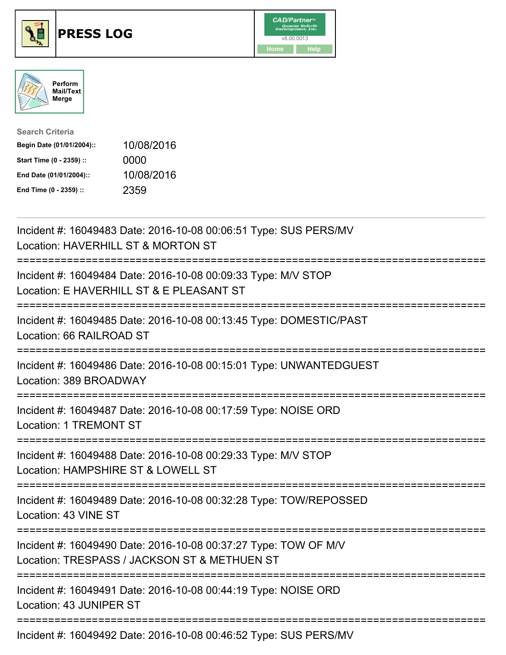





| <b>Search Criteria</b>    |            |
|---------------------------|------------|
| Begin Date (01/01/2004):: | 10/08/2016 |
| Start Time (0 - 2359) ::  | 0000       |
| End Date (01/01/2004)::   | 10/08/2016 |
| End Time (0 - 2359) ::    | 2359       |

| Incident #: 16049483 Date: 2016-10-08 00:06:51 Type: SUS PERS/MV<br>Location: HAVERHILL ST & MORTON ST                             |
|------------------------------------------------------------------------------------------------------------------------------------|
| Incident #: 16049484 Date: 2016-10-08 00:09:33 Type: M/V STOP<br>Location: E HAVERHILL ST & E PLEASANT ST                          |
| Incident #: 16049485 Date: 2016-10-08 00:13:45 Type: DOMESTIC/PAST<br>Location: 66 RAILROAD ST                                     |
| Incident #: 16049486 Date: 2016-10-08 00:15:01 Type: UNWANTEDGUEST<br>Location: 389 BROADWAY                                       |
| Incident #: 16049487 Date: 2016-10-08 00:17:59 Type: NOISE ORD<br><b>Location: 1 TREMONT ST</b><br>==================              |
| Incident #: 16049488 Date: 2016-10-08 00:29:33 Type: M/V STOP<br>Location: HAMPSHIRE ST & LOWELL ST<br>-------------               |
| Incident #: 16049489 Date: 2016-10-08 00:32:28 Type: TOW/REPOSSED<br>Location: 43 VINE ST<br>------------------------------------- |
| Incident #: 16049490 Date: 2016-10-08 00:37:27 Type: TOW OF M/V<br>Location: TRESPASS / JACKSON ST & METHUEN ST                    |
| Incident #: 16049491 Date: 2016-10-08 00:44:19 Type: NOISE ORD<br>Location: 43 JUNIPER ST                                          |
| Incident #: 16049492 Date: 2016-10-08 00:46:52 Type: SUS PERS/MV                                                                   |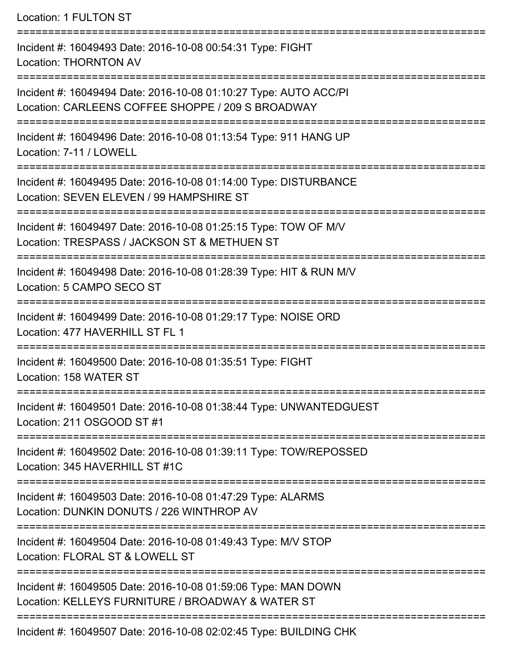| Location: 1 FULTON ST                                                                                                                                |
|------------------------------------------------------------------------------------------------------------------------------------------------------|
| Incident #: 16049493 Date: 2016-10-08 00:54:31 Type: FIGHT<br><b>Location: THORNTON AV</b>                                                           |
| Incident #: 16049494 Date: 2016-10-08 01:10:27 Type: AUTO ACC/PI<br>Location: CARLEENS COFFEE SHOPPE / 209 S BROADWAY                                |
| Incident #: 16049496 Date: 2016-10-08 01:13:54 Type: 911 HANG UP<br>Location: 7-11 / LOWELL                                                          |
| Incident #: 16049495 Date: 2016-10-08 01:14:00 Type: DISTURBANCE<br>Location: SEVEN ELEVEN / 99 HAMPSHIRE ST<br>==================================== |
| Incident #: 16049497 Date: 2016-10-08 01:25:15 Type: TOW OF M/V<br>Location: TRESPASS / JACKSON ST & METHUEN ST                                      |
| Incident #: 16049498 Date: 2016-10-08 01:28:39 Type: HIT & RUN M/V<br>Location: 5 CAMPO SECO ST                                                      |
| Incident #: 16049499 Date: 2016-10-08 01:29:17 Type: NOISE ORD<br>Location: 477 HAVERHILL ST FL 1<br>--------------------                            |
| Incident #: 16049500 Date: 2016-10-08 01:35:51 Type: FIGHT<br>Location: 158 WATER ST                                                                 |
| Incident #: 16049501 Date: 2016-10-08 01:38:44 Type: UNWANTEDGUEST<br>Location: 211 OSGOOD ST #1                                                     |
| Incident #: 16049502 Date: 2016-10-08 01:39:11 Type: TOW/REPOSSED<br>Location: 345 HAVERHILL ST #1C                                                  |
| Incident #: 16049503 Date: 2016-10-08 01:47:29 Type: ALARMS<br>Location: DUNKIN DONUTS / 226 WINTHROP AV                                             |
| Incident #: 16049504 Date: 2016-10-08 01:49:43 Type: M/V STOP<br>Location: FLORAL ST & LOWELL ST                                                     |
| Incident #: 16049505 Date: 2016-10-08 01:59:06 Type: MAN DOWN<br>Location: KELLEYS FURNITURE / BROADWAY & WATER ST                                   |
| Incident #: 16049507 Date: 2016-10-08 02:02:45 Type: BUILDING CHK                                                                                    |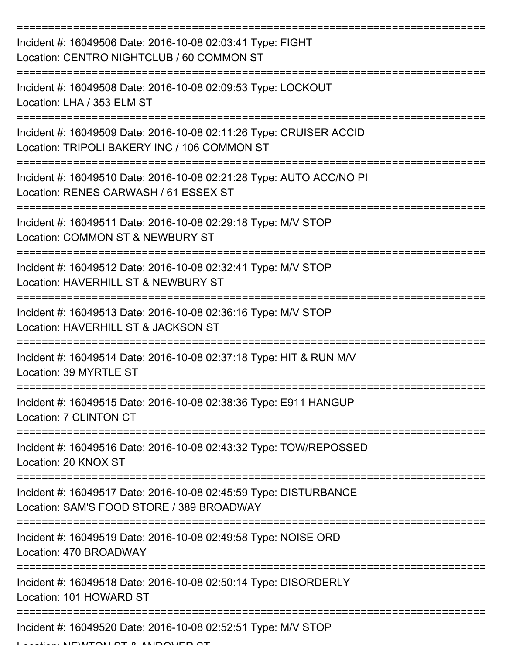| Incident #: 16049506 Date: 2016-10-08 02:03:41 Type: FIGHT<br>Location: CENTRO NIGHTCLUB / 60 COMMON ST            |
|--------------------------------------------------------------------------------------------------------------------|
| Incident #: 16049508 Date: 2016-10-08 02:09:53 Type: LOCKOUT<br>Location: LHA / 353 ELM ST                         |
| Incident #: 16049509 Date: 2016-10-08 02:11:26 Type: CRUISER ACCID<br>Location: TRIPOLI BAKERY INC / 106 COMMON ST |
| Incident #: 16049510 Date: 2016-10-08 02:21:28 Type: AUTO ACC/NO PI<br>Location: RENES CARWASH / 61 ESSEX ST       |
| Incident #: 16049511 Date: 2016-10-08 02:29:18 Type: M/V STOP<br>Location: COMMON ST & NEWBURY ST                  |
| Incident #: 16049512 Date: 2016-10-08 02:32:41 Type: M/V STOP<br>Location: HAVERHILL ST & NEWBURY ST               |
| Incident #: 16049513 Date: 2016-10-08 02:36:16 Type: M/V STOP<br>Location: HAVERHILL ST & JACKSON ST               |
| Incident #: 16049514 Date: 2016-10-08 02:37:18 Type: HIT & RUN M/V<br>Location: 39 MYRTLE ST                       |
| Incident #: 16049515 Date: 2016-10-08 02:38:36 Type: E911 HANGUP<br>Location: 7 CLINTON CT                         |
| Incident #: 16049516 Date: 2016-10-08 02:43:32 Type: TOW/REPOSSED<br>Location: 20 KNOX ST                          |
| Incident #: 16049517 Date: 2016-10-08 02:45:59 Type: DISTURBANCE<br>Location: SAM'S FOOD STORE / 389 BROADWAY      |
| Incident #: 16049519 Date: 2016-10-08 02:49:58 Type: NOISE ORD<br>Location: 470 BROADWAY                           |
| Incident #: 16049518 Date: 2016-10-08 02:50:14 Type: DISORDERLY<br>Location: 101 HOWARD ST                         |
| Incident #: 16049520 Date: 2016-10-08 02:52:51 Type: M/V STOP                                                      |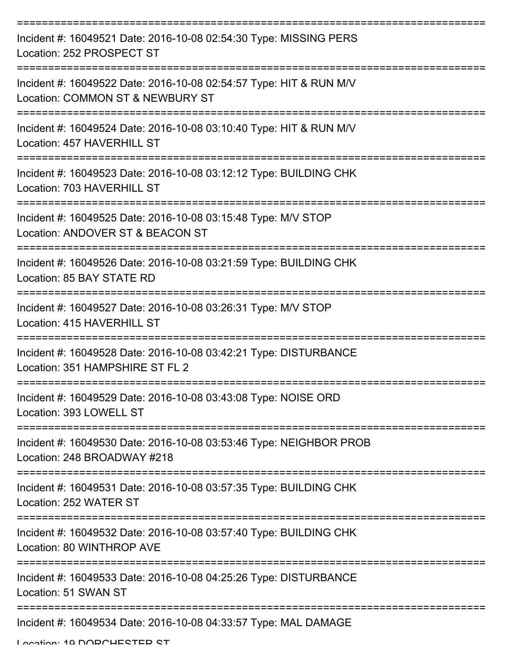| Incident #: 16049521 Date: 2016-10-08 02:54:30 Type: MISSING PERS<br>Location: 252 PROSPECT ST         |
|--------------------------------------------------------------------------------------------------------|
| Incident #: 16049522 Date: 2016-10-08 02:54:57 Type: HIT & RUN M/V<br>Location: COMMON ST & NEWBURY ST |
| Incident #: 16049524 Date: 2016-10-08 03:10:40 Type: HIT & RUN M/V<br>Location: 457 HAVERHILL ST       |
| Incident #: 16049523 Date: 2016-10-08 03:12:12 Type: BUILDING CHK<br>Location: 703 HAVERHILL ST        |
| Incident #: 16049525 Date: 2016-10-08 03:15:48 Type: M/V STOP<br>Location: ANDOVER ST & BEACON ST      |
| Incident #: 16049526 Date: 2016-10-08 03:21:59 Type: BUILDING CHK<br>Location: 85 BAY STATE RD         |
| Incident #: 16049527 Date: 2016-10-08 03:26:31 Type: M/V STOP<br>Location: 415 HAVERHILL ST            |
| Incident #: 16049528 Date: 2016-10-08 03:42:21 Type: DISTURBANCE<br>Location: 351 HAMPSHIRE ST FL 2    |
| Incident #: 16049529 Date: 2016-10-08 03:43:08 Type: NOISE ORD<br>Location: 393 LOWELL ST              |
| Incident #: 16049530 Date: 2016-10-08 03:53:46 Type: NEIGHBOR PROB<br>Location: 248 BROADWAY #218      |
| Incident #: 16049531 Date: 2016-10-08 03:57:35 Type: BUILDING CHK<br>Location: 252 WATER ST            |
| Incident #: 16049532 Date: 2016-10-08 03:57:40 Type: BUILDING CHK<br>Location: 80 WINTHROP AVE         |
| Incident #: 16049533 Date: 2016-10-08 04:25:26 Type: DISTURBANCE<br>Location: 51 SWAN ST               |
| Incident #: 16049534 Date: 2016-10-08 04:33:57 Type: MAL DAMAGE                                        |

Location: 10 DODCHESTED ST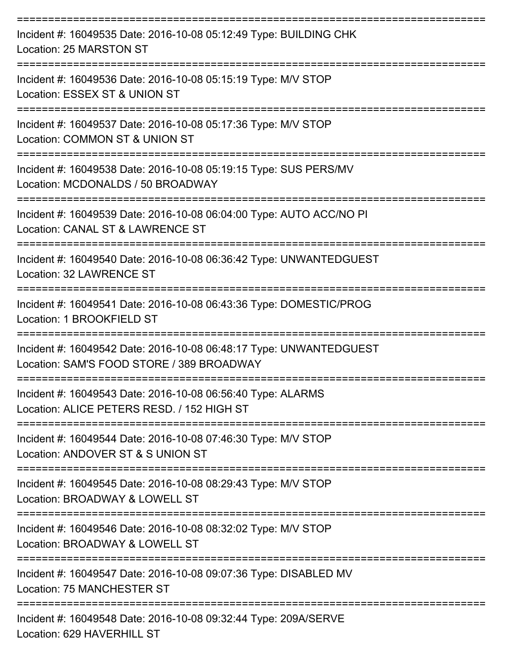| Incident #: 16049535 Date: 2016-10-08 05:12:49 Type: BUILDING CHK<br>Location: 25 MARSTON ST                               |
|----------------------------------------------------------------------------------------------------------------------------|
| Incident #: 16049536 Date: 2016-10-08 05:15:19 Type: M/V STOP<br>Location: ESSEX ST & UNION ST                             |
| Incident #: 16049537 Date: 2016-10-08 05:17:36 Type: M/V STOP<br>Location: COMMON ST & UNION ST                            |
| Incident #: 16049538 Date: 2016-10-08 05:19:15 Type: SUS PERS/MV<br>Location: MCDONALDS / 50 BROADWAY                      |
| Incident #: 16049539 Date: 2016-10-08 06:04:00 Type: AUTO ACC/NO PI<br>Location: CANAL ST & LAWRENCE ST<br>:============== |
| Incident #: 16049540 Date: 2016-10-08 06:36:42 Type: UNWANTEDGUEST<br><b>Location: 32 LAWRENCE ST</b>                      |
| Incident #: 16049541 Date: 2016-10-08 06:43:36 Type: DOMESTIC/PROG<br>Location: 1 BROOKFIELD ST                            |
| Incident #: 16049542 Date: 2016-10-08 06:48:17 Type: UNWANTEDGUEST<br>Location: SAM'S FOOD STORE / 389 BROADWAY            |
| Incident #: 16049543 Date: 2016-10-08 06:56:40 Type: ALARMS<br>Location: ALICE PETERS RESD. / 152 HIGH ST                  |
| Incident #: 16049544 Date: 2016-10-08 07:46:30 Type: M/V STOP<br>Location: ANDOVER ST & S UNION ST                         |
| Incident #: 16049545 Date: 2016-10-08 08:29:43 Type: M/V STOP<br>Location: BROADWAY & LOWELL ST                            |
| Incident #: 16049546 Date: 2016-10-08 08:32:02 Type: M/V STOP<br>Location: BROADWAY & LOWELL ST                            |
| Incident #: 16049547 Date: 2016-10-08 09:07:36 Type: DISABLED MV<br><b>Location: 75 MANCHESTER ST</b>                      |
| Incident #: 16049548 Date: 2016-10-08 09:32:44 Type: 209A/SERVE<br>Location: 629 HAVERHILL ST                              |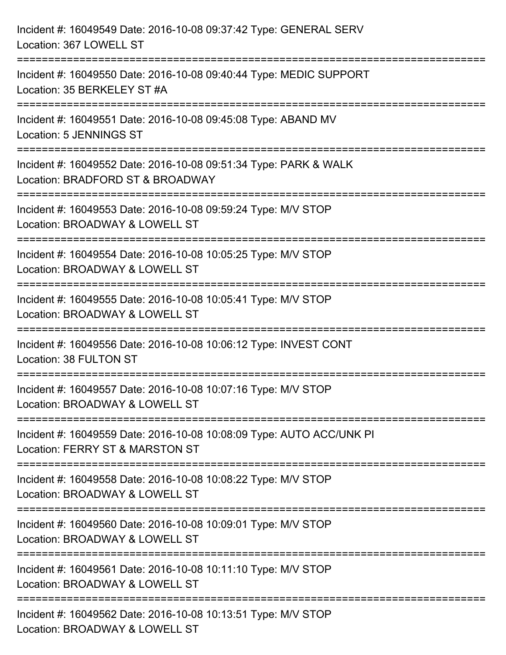| Incident #: 16049549 Date: 2016-10-08 09:37:42 Type: GENERAL SERV<br>Location: 367 LOWELL ST                                                                      |
|-------------------------------------------------------------------------------------------------------------------------------------------------------------------|
| ==================================<br>Incident #: 16049550 Date: 2016-10-08 09:40:44 Type: MEDIC SUPPORT<br>Location: 35 BERKELEY ST #A                           |
| Incident #: 16049551 Date: 2016-10-08 09:45:08 Type: ABAND MV<br><b>Location: 5 JENNINGS ST</b><br>==================================<br>======================== |
| Incident #: 16049552 Date: 2016-10-08 09:51:34 Type: PARK & WALK<br>Location: BRADFORD ST & BROADWAY                                                              |
| Incident #: 16049553 Date: 2016-10-08 09:59:24 Type: M/V STOP<br>Location: BROADWAY & LOWELL ST                                                                   |
| Incident #: 16049554 Date: 2016-10-08 10:05:25 Type: M/V STOP<br>Location: BROADWAY & LOWELL ST                                                                   |
| Incident #: 16049555 Date: 2016-10-08 10:05:41 Type: M/V STOP<br>Location: BROADWAY & LOWELL ST                                                                   |
| Incident #: 16049556 Date: 2016-10-08 10:06:12 Type: INVEST CONT<br>Location: 38 FULTON ST                                                                        |
| Incident #: 16049557 Date: 2016-10-08 10:07:16 Type: M/V STOP<br>Location: BROADWAY & LOWELL ST                                                                   |
| Incident #: 16049559 Date: 2016-10-08 10:08:09 Type: AUTO ACC/UNK PI<br>Location: FERRY ST & MARSTON ST                                                           |
| Incident #: 16049558 Date: 2016-10-08 10:08:22 Type: M/V STOP<br>Location: BROADWAY & LOWELL ST                                                                   |
| :====================<br>Incident #: 16049560 Date: 2016-10-08 10:09:01 Type: M/V STOP<br>Location: BROADWAY & LOWELL ST                                          |
| Incident #: 16049561 Date: 2016-10-08 10:11:10 Type: M/V STOP<br>Location: BROADWAY & LOWELL ST                                                                   |
| Incident #: 16049562 Date: 2016-10-08 10:13:51 Type: M/V STOP<br>Location: BROADWAY & LOWELL ST                                                                   |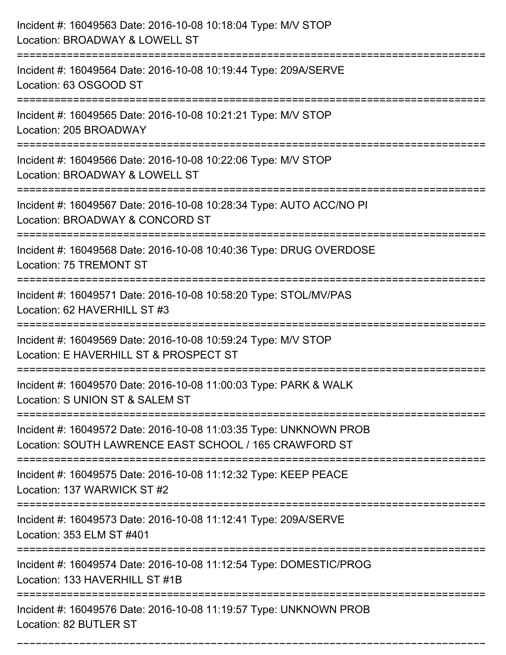| Incident #: 16049563 Date: 2016-10-08 10:18:04 Type: M/V STOP<br>Location: BROADWAY & LOWELL ST                                |
|--------------------------------------------------------------------------------------------------------------------------------|
| Incident #: 16049564 Date: 2016-10-08 10:19:44 Type: 209A/SERVE<br>Location: 63 OSGOOD ST                                      |
| Incident #: 16049565 Date: 2016-10-08 10:21:21 Type: M/V STOP<br>Location: 205 BROADWAY                                        |
| Incident #: 16049566 Date: 2016-10-08 10:22:06 Type: M/V STOP<br>Location: BROADWAY & LOWELL ST                                |
| Incident #: 16049567 Date: 2016-10-08 10:28:34 Type: AUTO ACC/NO PI<br>Location: BROADWAY & CONCORD ST                         |
| Incident #: 16049568 Date: 2016-10-08 10:40:36 Type: DRUG OVERDOSE<br>Location: 75 TREMONT ST                                  |
| Incident #: 16049571 Date: 2016-10-08 10:58:20 Type: STOL/MV/PAS<br>Location: 62 HAVERHILL ST #3                               |
| Incident #: 16049569 Date: 2016-10-08 10:59:24 Type: M/V STOP<br>Location: E HAVERHILL ST & PROSPECT ST                        |
| Incident #: 16049570 Date: 2016-10-08 11:00:03 Type: PARK & WALK<br>Location: S UNION ST & SALEM ST                            |
| Incident #: 16049572 Date: 2016-10-08 11:03:35 Type: UNKNOWN PROB<br>Location: SOUTH LAWRENCE EAST SCHOOL / 165 CRAWFORD ST    |
| Incident #: 16049575 Date: 2016-10-08 11:12:32 Type: KEEP PEACE<br>Location: 137 WARWICK ST #2                                 |
| Incident #: 16049573 Date: 2016-10-08 11:12:41 Type: 209A/SERVE<br>Location: 353 ELM ST #401                                   |
| ======================<br>Incident #: 16049574 Date: 2016-10-08 11:12:54 Type: DOMESTIC/PROG<br>Location: 133 HAVERHILL ST #1B |
| Incident #: 16049576 Date: 2016-10-08 11:19:57 Type: UNKNOWN PROB<br>Location: 82 BUTLER ST                                    |

===========================================================================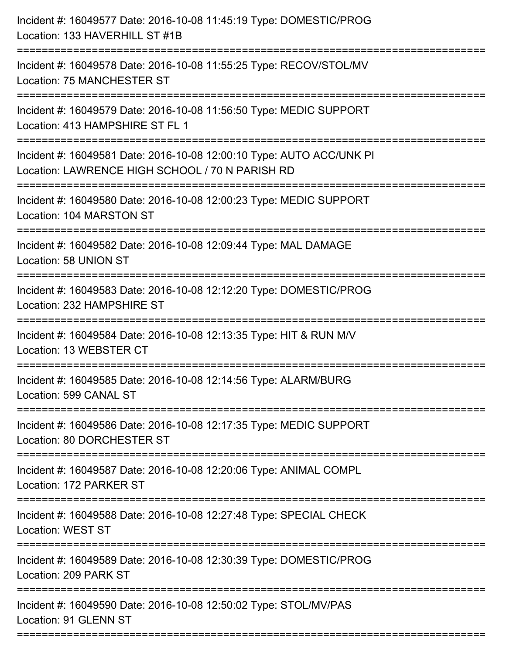| Incident #: 16049577 Date: 2016-10-08 11:45:19 Type: DOMESTIC/PROG<br>Location: 133 HAVERHILL ST #1B                              |
|-----------------------------------------------------------------------------------------------------------------------------------|
| Incident #: 16049578 Date: 2016-10-08 11:55:25 Type: RECOV/STOL/MV<br>Location: 75 MANCHESTER ST                                  |
| Incident #: 16049579 Date: 2016-10-08 11:56:50 Type: MEDIC SUPPORT<br>Location: 413 HAMPSHIRE ST FL 1<br>:======================= |
| Incident #: 16049581 Date: 2016-10-08 12:00:10 Type: AUTO ACC/UNK PI<br>Location: LAWRENCE HIGH SCHOOL / 70 N PARISH RD           |
| Incident #: 16049580 Date: 2016-10-08 12:00:23 Type: MEDIC SUPPORT<br>Location: 104 MARSTON ST                                    |
| Incident #: 16049582 Date: 2016-10-08 12:09:44 Type: MAL DAMAGE<br>Location: 58 UNION ST                                          |
| Incident #: 16049583 Date: 2016-10-08 12:12:20 Type: DOMESTIC/PROG<br>Location: 232 HAMPSHIRE ST<br>==============                |
| Incident #: 16049584 Date: 2016-10-08 12:13:35 Type: HIT & RUN M/V<br>Location: 13 WEBSTER CT                                     |
| Incident #: 16049585 Date: 2016-10-08 12:14:56 Type: ALARM/BURG<br>Location: 599 CANAL ST                                         |
| Incident #: 16049586 Date: 2016-10-08 12:17:35 Type: MEDIC SUPPORT<br>Location: 80 DORCHESTER ST                                  |
| Incident #: 16049587 Date: 2016-10-08 12:20:06 Type: ANIMAL COMPL<br>Location: 172 PARKER ST                                      |
| =====================<br>Incident #: 16049588 Date: 2016-10-08 12:27:48 Type: SPECIAL CHECK<br><b>Location: WEST ST</b>           |
| Incident #: 16049589 Date: 2016-10-08 12:30:39 Type: DOMESTIC/PROG<br>Location: 209 PARK ST                                       |
| Incident #: 16049590 Date: 2016-10-08 12:50:02 Type: STOL/MV/PAS<br>Location: 91 GLENN ST                                         |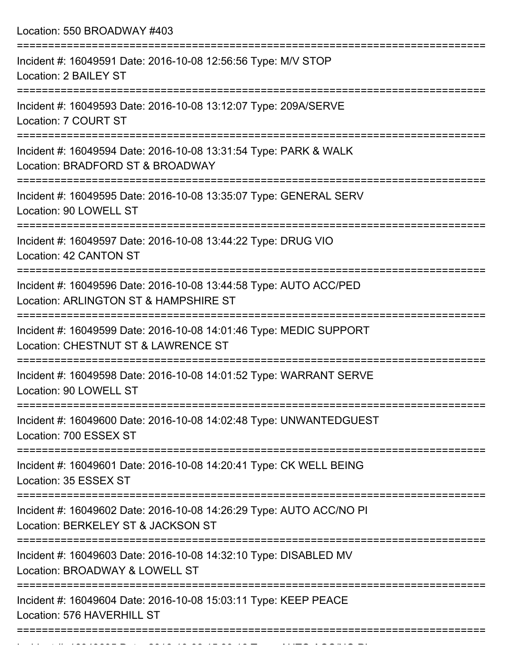Location: 550 BROADWAY #403 =========================================================================== Incident #: 16049591 Date: 2016-10-08 12:56:56 Type: M/V STOP Location: 2 BAILEY ST =========================================================================== Incident #: 16049593 Date: 2016-10-08 13:12:07 Type: 209A/SERVE Location: 7 COURT ST =========================================================================== Incident #: 16049594 Date: 2016-10-08 13:31:54 Type: PARK & WALK Location: BRADFORD ST & BROADWAY =========================================================================== Incident #: 16049595 Date: 2016-10-08 13:35:07 Type: GENERAL SERV Location: 90 LOWELL ST =========================================================================== Incident #: 16049597 Date: 2016-10-08 13:44:22 Type: DRUG VIO Location: 42 CANTON ST =========================================================================== Incident #: 16049596 Date: 2016-10-08 13:44:58 Type: AUTO ACC/PED Location: ARLINGTON ST & HAMPSHIRE ST =========================================================================== Incident #: 16049599 Date: 2016-10-08 14:01:46 Type: MEDIC SUPPORT Location: CHESTNUT ST & LAWRENCE ST =========================================================================== Incident #: 16049598 Date: 2016-10-08 14:01:52 Type: WARRANT SERVE Location: 90 LOWELL ST =========================================================================== Incident #: 16049600 Date: 2016-10-08 14:02:48 Type: UNWANTEDGUEST Location: 700 ESSEX ST =========================================================================== Incident #: 16049601 Date: 2016-10-08 14:20:41 Type: CK WELL BEING Location: 35 ESSEX ST =========================================================================== Incident #: 16049602 Date: 2016-10-08 14:26:29 Type: AUTO ACC/NO PI Location: BERKELEY ST & JACKSON ST =========================================================================== Incident #: 16049603 Date: 2016-10-08 14:32:10 Type: DISABLED MV Location: BROADWAY & LOWELL ST =========================================================================== Incident #: 16049604 Date: 2016-10-08 15:03:11 Type: KEEP PEACE Location: 576 HAVERHILL ST ===========================================================================

Incident #: 16049605 Date: 2016 10 08 15:30:16 Date: 2016 10 08 15:30:16 Date: 2016 10 08 15:30:16 Type: 2016<br>.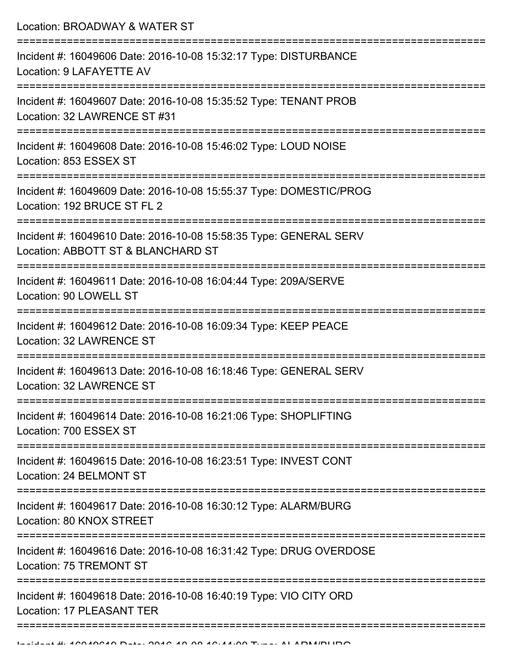Location: BROADWAY & WATER ST =========================================================================== Incident #: 16049606 Date: 2016-10-08 15:32:17 Type: DISTURBANCE Location: 9 LAFAYETTE AV =========================================================================== Incident #: 16049607 Date: 2016-10-08 15:35:52 Type: TENANT PROB Location: 32 LAWRENCE ST #31 =========================================================================== Incident #: 16049608 Date: 2016-10-08 15:46:02 Type: LOUD NOISE Location: 853 ESSEX ST =========================================================================== Incident #: 16049609 Date: 2016-10-08 15:55:37 Type: DOMESTIC/PROG Location: 192 BRUCE ST FL 2 =========================================================================== Incident #: 16049610 Date: 2016-10-08 15:58:35 Type: GENERAL SERV Location: ABBOTT ST & BLANCHARD ST =========================================================================== Incident #: 16049611 Date: 2016-10-08 16:04:44 Type: 209A/SERVE Location: 90 LOWELL ST =========================================================================== Incident #: 16049612 Date: 2016-10-08 16:09:34 Type: KEEP PEACE Location: 32 LAWRENCE ST =========================================================================== Incident #: 16049613 Date: 2016-10-08 16:18:46 Type: GENERAL SERV Location: 32 LAWRENCE ST =========================================================================== Incident #: 16049614 Date: 2016-10-08 16:21:06 Type: SHOPLIFTING Location: 700 ESSEX ST =========================================================================== Incident #: 16049615 Date: 2016-10-08 16:23:51 Type: INVEST CONT Location: 24 BELMONT ST =========================================================================== Incident #: 16049617 Date: 2016-10-08 16:30:12 Type: ALARM/BURG Location: 80 KNOX STREET =========================================================================== Incident #: 16049616 Date: 2016-10-08 16:31:42 Type: DRUG OVERDOSE Location: 75 TREMONT ST =========================================================================== Incident #: 16049618 Date: 2016-10-08 16:40:19 Type: VIO CITY ORD Location: 17 PLEASANT TER

===========================================================================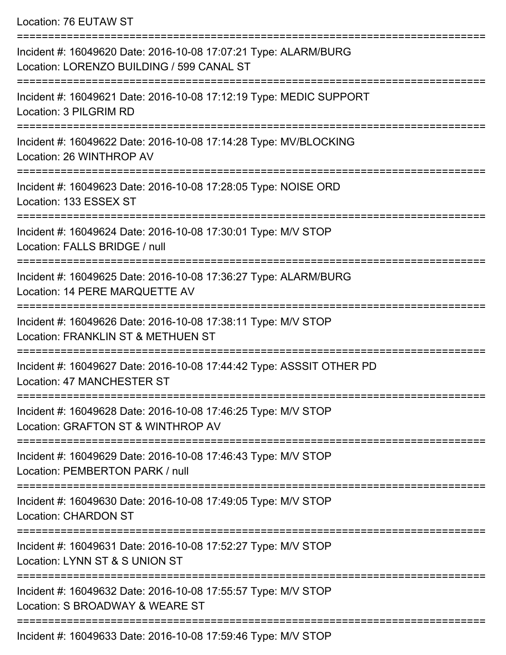Location: 76 EUTAW ST

| Incident #: 16049620 Date: 2016-10-08 17:07:21 Type: ALARM/BURG<br>Location: LORENZO BUILDING / 599 CANAL ST         |
|----------------------------------------------------------------------------------------------------------------------|
| Incident #: 16049621 Date: 2016-10-08 17:12:19 Type: MEDIC SUPPORT<br>Location: 3 PILGRIM RD                         |
| Incident #: 16049622 Date: 2016-10-08 17:14:28 Type: MV/BLOCKING<br>Location: 26 WINTHROP AV                         |
| Incident #: 16049623 Date: 2016-10-08 17:28:05 Type: NOISE ORD<br>Location: 133 ESSEX ST                             |
| Incident #: 16049624 Date: 2016-10-08 17:30:01 Type: M/V STOP<br>Location: FALLS BRIDGE / null                       |
| Incident #: 16049625 Date: 2016-10-08 17:36:27 Type: ALARM/BURG<br>Location: 14 PERE MARQUETTE AV                    |
| Incident #: 16049626 Date: 2016-10-08 17:38:11 Type: M/V STOP<br>Location: FRANKLIN ST & METHUEN ST                  |
| Incident #: 16049627 Date: 2016-10-08 17:44:42 Type: ASSSIT OTHER PD<br>Location: 47 MANCHESTER ST                   |
| Incident #: 16049628 Date: 2016-10-08 17:46:25 Type: M/V STOP<br>Location: GRAFTON ST & WINTHROP AV                  |
| Incident #: 16049629 Date: 2016-10-08 17:46:43 Type: M/V STOP<br>Location: PEMBERTON PARK / null                     |
| Incident #: 16049630 Date: 2016-10-08 17:49:05 Type: M/V STOP<br><b>Location: CHARDON ST</b><br>____________________ |
| Incident #: 16049631 Date: 2016-10-08 17:52:27 Type: M/V STOP<br>Location: LYNN ST & S UNION ST                      |
| Incident #: 16049632 Date: 2016-10-08 17:55:57 Type: M/V STOP<br>Location: S BROADWAY & WEARE ST                     |
| Incident #: 16049633 Date: 2016-10-08 17:59:46 Type: M/V STOP                                                        |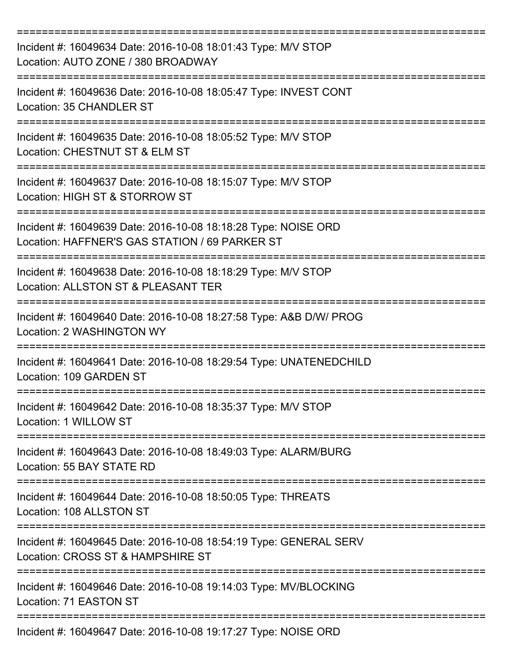| Incident #: 16049634 Date: 2016-10-08 18:01:43 Type: M/V STOP<br>Location: AUTO ZONE / 380 BROADWAY                                          |
|----------------------------------------------------------------------------------------------------------------------------------------------|
| Incident #: 16049636 Date: 2016-10-08 18:05:47 Type: INVEST CONT<br>Location: 35 CHANDLER ST                                                 |
| Incident #: 16049635 Date: 2016-10-08 18:05:52 Type: M/V STOP<br>Location: CHESTNUT ST & ELM ST                                              |
| Incident #: 16049637 Date: 2016-10-08 18:15:07 Type: M/V STOP<br>Location: HIGH ST & STORROW ST                                              |
| Incident #: 16049639 Date: 2016-10-08 18:18:28 Type: NOISE ORD<br>Location: HAFFNER'S GAS STATION / 69 PARKER ST<br>======================== |
| Incident #: 16049638 Date: 2016-10-08 18:18:29 Type: M/V STOP<br>Location: ALLSTON ST & PLEASANT TER                                         |
| Incident #: 16049640 Date: 2016-10-08 18:27:58 Type: A&B D/W/ PROG<br>Location: 2 WASHINGTON WY<br>=========                                 |
| Incident #: 16049641 Date: 2016-10-08 18:29:54 Type: UNATENEDCHILD<br>Location: 109 GARDEN ST                                                |
| Incident #: 16049642 Date: 2016-10-08 18:35:37 Type: M/V STOP<br>Location: 1 WILLOW ST                                                       |
| Incident #: 16049643 Date: 2016-10-08 18:49:03 Type: ALARM/BURG<br>Location: 55 BAY STATE RD                                                 |
| Incident #: 16049644 Date: 2016-10-08 18:50:05 Type: THREATS<br>Location: 108 ALLSTON ST                                                     |
| Incident #: 16049645 Date: 2016-10-08 18:54:19 Type: GENERAL SERV<br>Location: CROSS ST & HAMPSHIRE ST                                       |
| Incident #: 16049646 Date: 2016-10-08 19:14:03 Type: MV/BLOCKING<br>Location: 71 EASTON ST                                                   |
| Incident #: 16049647 Date: 2016-10-08 19:17:27 Type: NOISE ORD                                                                               |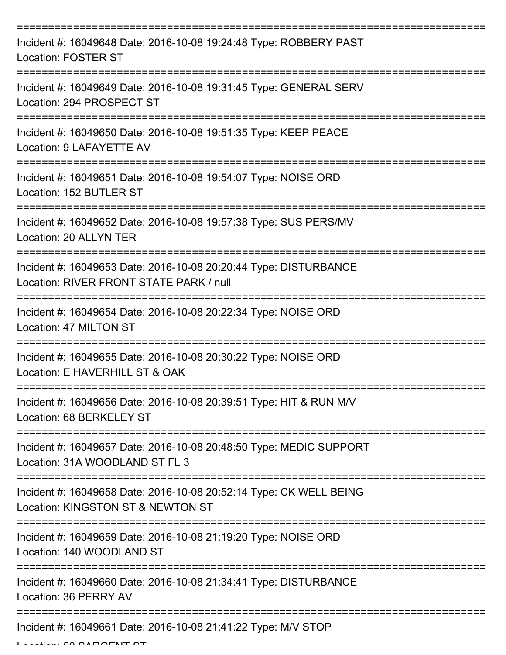| Incident #: 16049648 Date: 2016-10-08 19:24:48 Type: ROBBERY PAST<br><b>Location: FOSTER ST</b>             |
|-------------------------------------------------------------------------------------------------------------|
| Incident #: 16049649 Date: 2016-10-08 19:31:45 Type: GENERAL SERV<br>Location: 294 PROSPECT ST              |
| Incident #: 16049650 Date: 2016-10-08 19:51:35 Type: KEEP PEACE<br>Location: 9 LAFAYETTE AV                 |
| Incident #: 16049651 Date: 2016-10-08 19:54:07 Type: NOISE ORD<br>Location: 152 BUTLER ST                   |
| Incident #: 16049652 Date: 2016-10-08 19:57:38 Type: SUS PERS/MV<br>Location: 20 ALLYN TER                  |
| Incident #: 16049653 Date: 2016-10-08 20:20:44 Type: DISTURBANCE<br>Location: RIVER FRONT STATE PARK / null |
| Incident #: 16049654 Date: 2016-10-08 20:22:34 Type: NOISE ORD<br>Location: 47 MILTON ST                    |
| Incident #: 16049655 Date: 2016-10-08 20:30:22 Type: NOISE ORD<br>Location: E HAVERHILL ST & OAK            |
| Incident #: 16049656 Date: 2016-10-08 20:39:51 Type: HIT & RUN M/V<br>Location: 68 BERKELEY ST              |
| Incident #: 16049657 Date: 2016-10-08 20:48:50 Type: MEDIC SUPPORT<br>Location: 31A WOODLAND ST FL 3        |
| Incident #: 16049658 Date: 2016-10-08 20:52:14 Type: CK WELL BEING<br>Location: KINGSTON ST & NEWTON ST     |
| Incident #: 16049659 Date: 2016-10-08 21:19:20 Type: NOISE ORD<br>Location: 140 WOODLAND ST                 |
| Incident #: 16049660 Date: 2016-10-08 21:34:41 Type: DISTURBANCE<br>Location: 36 PERRY AV                   |
| Incident #: 16049661 Date: 2016-10-08 21:41:22 Type: M/V STOP                                               |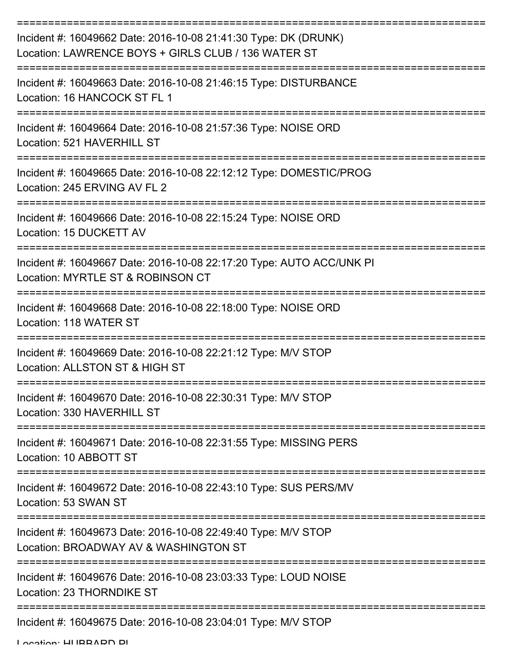| Incident #: 16049662 Date: 2016-10-08 21:41:30 Type: DK (DRUNK)<br>Location: LAWRENCE BOYS + GIRLS CLUB / 136 WATER ST |
|------------------------------------------------------------------------------------------------------------------------|
| Incident #: 16049663 Date: 2016-10-08 21:46:15 Type: DISTURBANCE<br>Location: 16 HANCOCK ST FL 1                       |
| Incident #: 16049664 Date: 2016-10-08 21:57:36 Type: NOISE ORD<br>Location: 521 HAVERHILL ST                           |
| Incident #: 16049665 Date: 2016-10-08 22:12:12 Type: DOMESTIC/PROG<br>Location: 245 ERVING AV FL 2                     |
| Incident #: 16049666 Date: 2016-10-08 22:15:24 Type: NOISE ORD<br>Location: 15 DUCKETT AV                              |
| Incident #: 16049667 Date: 2016-10-08 22:17:20 Type: AUTO ACC/UNK PI<br>Location: MYRTLE ST & ROBINSON CT              |
| ,_______________<br>Incident #: 16049668 Date: 2016-10-08 22:18:00 Type: NOISE ORD<br>Location: 118 WATER ST           |
| Incident #: 16049669 Date: 2016-10-08 22:21:12 Type: M/V STOP<br>Location: ALLSTON ST & HIGH ST                        |
| Incident #: 16049670 Date: 2016-10-08 22:30:31 Type: M/V STOP<br>Location: 330 HAVERHILL ST                            |
| Incident #: 16049671 Date: 2016-10-08 22:31:55 Type: MISSING PERS<br>Location: 10 ABBOTT ST                            |
| Incident #: 16049672 Date: 2016-10-08 22:43:10 Type: SUS PERS/MV<br>Location: 53 SWAN ST                               |
| Incident #: 16049673 Date: 2016-10-08 22:49:40 Type: M/V STOP<br>Location: BROADWAY AV & WASHINGTON ST                 |
| Incident #: 16049676 Date: 2016-10-08 23:03:33 Type: LOUD NOISE<br>Location: 23 THORNDIKE ST                           |
| Incident #: 16049675 Date: 2016-10-08 23:04:01 Type: M/V STOP                                                          |

Location: HUBBARD PL